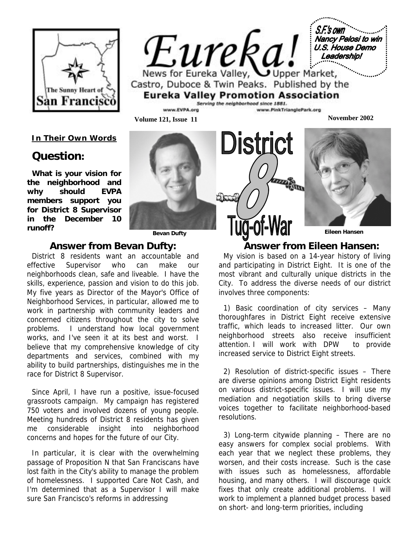

S.F.'s own **Nancy Pelosi to win** Eureka! U.S. House Demo Leadership! News for Eureka Valley, Upper Market, Castro, Duboce & Twin Peaks. Published by the **Eureka Valley Promotion Association** 

District

ww.PinkTrianglePark.org

anna **Sam** 

Serving the neighborhood since 1881.

**Volume 121, Issue 11 November 2002** 

*In Their Own Words*

# **Question:**

**What is your vision for the neighborhood and why should EVPA members support you for District 8 Supervisor in the December 10 runoff?** 



**Bevan Dufty Eileen Hansen** 

#### **Answer from Bevan Dufty:**

.<br>works, and I've seen it at its best and worst. I believe that my comprehensive knowledge of city ability to build partnerships, distinguishes me in the  race for District 8 Supervisor. District 8 residents want an accountable and effective Supervisor who can make our neighborhoods clean, safe and liveable. I have the skills, experience, passion and vision to do this job. My five years as Director of the Mayor's Office of Neighborhood Services, in particular, allowed me to work in partnership with community leaders and concerned citizens throughout the city to solve problems. I understand how local government departments and services, combined with my

Since April, I have run a positive, issue-focused grassroots campaign. My campaign has registered 750 voters and involved dozens of young people. Meeting hundreds of District 8 residents has given me considerable insight into neighborhood concerns and hopes for the future of our City.

 sure San Francisco's reforms in addressing In particular, it is clear with the overwhelming passage of Proposition N that San Franciscans have lost faith in the City's ability to manage the problem of homelessness. I supported Care Not Cash, and I'm determined that as a Supervisor I will make

 **Answer from Eileen Hansen:** 

My vision is based on a 14-year history of living and participating in District Eight. It is one of the most vibrant and culturally unique districts in the City. To address the diverse needs of our district involves three components:

1) Basic coordination of city services – Many thoroughfares in District Eight receive extensive traffic, which leads to increased litter. Our own neighborhood streets also receive insufficient attention. I will work with DPW to provide increased service to District Eight streets.

2) Resolution of district-specific issues – There are diverse opinions among District Eight residents on various district-specific issues. I will use my mediation and negotiation skills to bring diverse voices together to facilitate neighborhood-based resolutions.

3) Long-term citywide planning – There are no easy answers for complex social problems. With each year that we neglect these problems, they worsen, and their costs increase. Such is the case with issues such as homelessness, affordable housing, and many others. I will discourage quick fixes that only create additional problems. I will work to implement a planned budget process based on short- and long-term priorities, including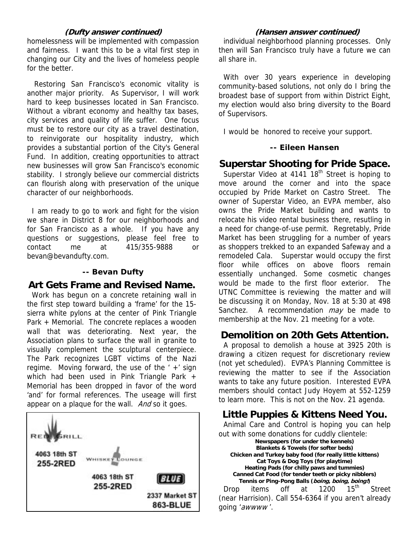#### **(Dufty answer continued)**

homelessness will be implemented with compassion and fairness. I want this to be a vital first step in changing our City and the lives of homeless people for the better.

 Restoring San Francisco's economic vitality is another major priority. As Supervisor, I will work hard to keep businesses located in San Francisco. Without a vibrant economy and healthy tax bases, city services and quality of life suffer. One focus must be to restore our city as a travel destination, to reinvigorate our hospitality industry, which provides a substantial portion of the City's General Fund. In addition, creating opportunities to attract new businesses will grow San Francisco's economic stability. I strongly believe our commercial districts can flourish along with preservation of the unique character of our neighborhoods.

I am ready to go to work and fight for the vision we share in District 8 for our neighborhoods and for San Francisco as a whole. If you have any questions or suggestions, please feel free to contact me at 415/355-9888 or bevan@bevandufty.com.

#### **-- Bevan Dufty**

## **Art Gets Frame and Revised Name.**

Work has begun on a concrete retaining wall in the first step toward building a 'frame' for the 15 sierra white pylons at the center of Pink Triangle Park + Memorial. The concrete replaces a wooden wall that was deteriorating. Next year, the Association plans to surface the wall in granite to visually complement the sculptural centerpiece. The Park recognizes LGBT victims of the Nazi regime. Moving forward, the use of the ' +' sign which had been used in Pink Triangle Park + Memorial has been dropped in favor of the word 'and' for formal references. The useage will first appear on a plaque for the wall. And so it goes.



#### **(Hansen answer continued)**

individual neighborhood planning processes. Only then will San Francisco truly have a future we can all share in.

With over 30 years experience in developing community-based solutions, not only do I bring the broadest base of support from within District Eight, my election would also bring diversity to the Board of Supervisors.

I would be honored to receive your support.

#### **-- Eileen Hansen**

## **Superstar Shooting for Pride Space.**

Superstar Video at  $4141 18<sup>th</sup>$  Street is hoping to move around the corner and into the space occupied by Pride Market on Castro Street. The owner of Superstar Video, an EVPA member, also owns the Pride Market building and wants to relocate his video rental business there, resutling in a need for change-of-use permit. Regretably, Pride Market has been struggling for a number of years as shoppers trekked to an expanded Safeway and a remodeled Cala. Superstar would occupy the first floor while offices on above floors remain essentially unchanged. Some cosmetic changes would be made to the first floor exterior. The UTNC Committee is reviewing the matter and will be discussing it on Monday, Nov. 18 at 5:30 at 498 Sanchez. A recommendation *may* be made to membership at the Nov. 21 meeting for a vote.

# **Demolition on 20th Gets Attention.**

A proposal to demolish a house at 3925 20th is drawing a citizen request for discretionary review (not yet scheduled). EVPA's Planning Committee is reviewing the matter to see if the Association wants to take any future position. Interested EVPA members should contact Judy Hoyem at 552-1259 to learn more. This is not on the Nov. 21 agenda.

# **Little Puppies & Kittens Need You.**

Animal Care and Control is hoping you can help out with some donations for cuddly clientele:

**Newspapers (for under the kennels) Blankets & Towels (for softer beds) Chicken and Turkey baby food (for really little kittens) Cat Toys & Dog Toys (for playtime) Heating Pads (for chilly paws and tummies) Canned Cat Food (for tender teeth or picky nibblers) Tennis or Ping-Pong Balls (boing, boing, boing!)**  Drop items off at 1200 15<sup>th</sup> Street (near Harrision). Call 554-6364 if you aren't already going 'awwww '.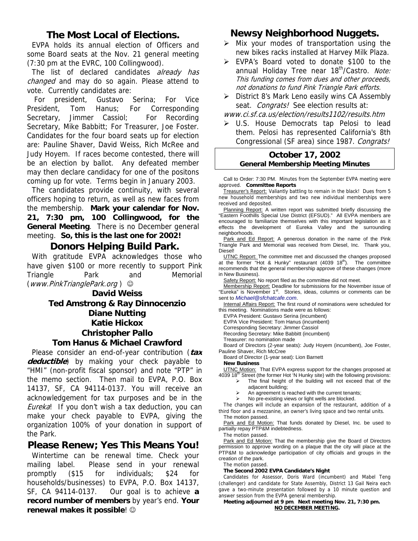## **The Most Local of Elections.**

EVPA holds its annual election of Officers and some Board seats at the Nov. 21 general meeting (7:30 pm at the EVRC, 100 Collingwood).

The list of declared candidates already has changed and may do so again. Please attend to vote. Currently candidates are:

 For president, Gustavo Serina; For Vice President, Tom Hanus; For Corresponding Secretary, Jimmer Cassiol: For Recording Secretary, Mike Babbitt; For Treasurer, Joe Foster. Candidates for the four board seats up for election are: Pauline Shaver, David Weiss, Rich McRee and Judy Hoyem. If races become contested, there will be an election by ballot. Any defeated member may then declare candidacy for one of the positons coming up for vote. Terms begin in January 2003.

The candidates provide continuity, with several officers hoping to return, as well as new faces from the membership. **Mark your calendar for Nov. 21, 7:30 pm, 100 Collingwood, for the General Meeting**. There is no December general meeting. **So, this is the last one for 2002!**

### **Donors Helping Build Park.**

With gratitude EVPA acknowledges those who have given \$100 or more recently to support Pink Triangle Park and Memorial  $(www.PinkTriangle Park.org)$ 

> **David Weiss Ted Amstrong & Ray Dinnocenzio Diane Nutting Katie Hickox Christopher Pallo**

#### **Tom Hanus & Michael Crawford**

Please consider an end-of-year contribution (**tax deductible**) by making your check payable to "HMI" (non-profit fiscal sponsor) and note "PTP" in the memo section. Then mail to EVPA, P.O. Box 14137, SF, CA 94114-0137. You will receive an acknowledgement for tax purposes and be in the Eureka! If you don't wish a tax deduction, you can make your check payable to EVPA, giving the organization 100% of your donation in support of the Park.

## **Please Renew; Yes This Means You!**

Wintertime can be renewal time. Check your mailing label. Please send in your renewal promptly (\$15 for individuals; \$24 for households/businesses) to EVPA, P.O. Box 14137, SF, CA 94114-0137. Our goal is to achieve **a record number of members** by year's end. **Your renewal makes it possible**! ☺

# **Newsy Neighborhood Nuggets.**

- $\triangleright$  Mix your modes of transportation using the new bikes racks installed at Harvey Milk Plaza.
- EVPA's Board voted to donate \$100 to the annual Holiday Tree near 18<sup>th</sup>/Castro. Note: This funding comes from dues and other proceeds, not donations to fund Pink Triangle Park efforts.
- $\triangleright$  District 8's Mark Leno easily wins CA Assembly seat. Congrats! See election results at:

www.ci.sf.ca.us/election/results1102/results.htm

> U.S. House Democrats tap Pelosi to lead them. Pelosi has represented California's 8th Congressional (SF area) since 1987. Congrats!

## **October 17, 2002 General Membership Meeting Minutes**

Call to Order: 7:30 PM. Minutes from the September EVPA meeting were approved. **Committee Reports** 

Treasurer's Report: Valiantly battling to remain in the black! Dues from 5 new household memberships and two new individual memberships were received and deposited.

Planning Report: A written report was submitted briefly discussing the "Eastern Foothills Special Use District (EFSUD)." All EVPA members are encouraged to familiarize themselves with this important legislation as it effects the development of Eureka Valley and the surrounding neighborhoods.

Park and Ed Report: A generous donation in the name of the Pink Triangle Park and Memorial was received from Diesel, Inc. Thank you, Diesel!

UTNC Report: The committee met and discussed the changes proposed at the former "Hot & Hunky" restaurant (4039 18<sup>th</sup>). The committee recommends that the general membership approve of these changes (more in New Business).

Safety Report: No report filed as the committee did not meet.

Membership Report: Deadline for submissions for the November issue of "Eureka" is November 1<sup>st</sup>. Stories, ideas, columns or comments can be sent to *Michael@sfchatcafe.com*.

Internal Affairs Report: The first round of nominations were scheduled for this meeting. Nominations made were as follows:

EVPA President: Gustavo Serina (incumbent)

EVPA Vice President: Tom Hanus (incumbent)

Corresponding Secretary: Jimmer Cassiol Recording Secretary: Mike Babbitt (incumbent)

Treasurer: no nomination made

Board of Directors (2-year seats): Judy Hoyem (incumbent), Joe Foster, Pauline Shaver, Rich McCree

Board of Director (1-year seat): Lion Barnett

**New Business** 

UTNC Motion: That EVPA express support for the changes proposed at 4039 18<sup>th</sup> Street (the former Hot 'N Hunky site) with the following provisions:

 $\triangleright$  The final height of the building will not exceed that of the adjacent building;

- An agreement is reached with the current tenants;<br>  $\triangleright$  No pre-existing views or light wells are blocked
- No pre-existing views or light wells are blocked.

The changes will include an expansion of the restaurant, addition of a third floor and a mezzanine, an owner's living space and two rental units. The motion passed.

Park and Ed Motion: That funds donated by Diesel, Inc. be used to partially repay PTP&M indebtedness.

The motion passed.

Park and Ed Motion: That the membership give the Board of Directors permission to approve wording on a plaque that the city will place at the PTP&M to acknowledge participation of city officials and groups in the creation of the park.

The motion passed.

#### **The Second 2002 EVPA Candidate's Night**

Candidates for Assessor, Doris Ward (incumbent) and Mabel Teng (challenger) and candidate for State Assembly, District 13 Gail Neira each gave a two-minute presentation followed by a 10 minute question and answer session from the EVPA general membership.

**Meeting adjourned at 9 pm**. **Next meeting Nov. 21, 7:30 pm. NO DECEMBER MEETING.**